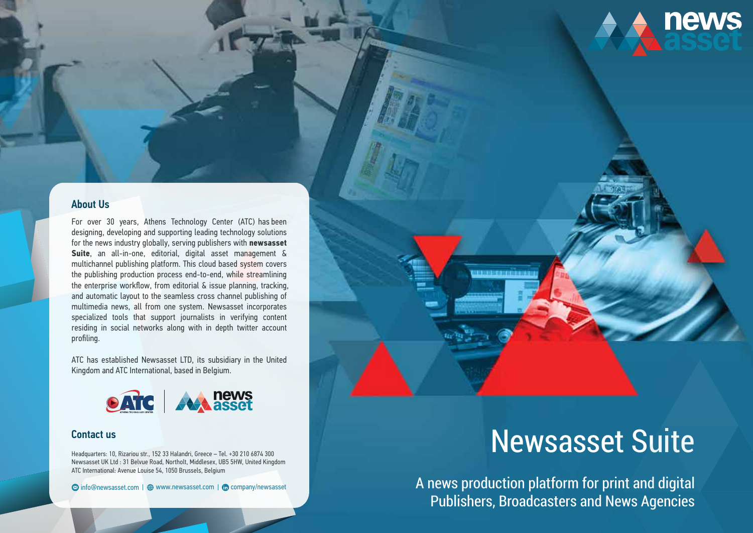# Newsasset Suite

**news** 

For over 30 years, Athens Technology Center (ATC) has been designing, developing and supporting leading technology solutions for the news industry globally, serving publishers with **newsasset Suite**, an all-in-one, editorial, digital asset management & multichannel publishing platform. This cloud based system covers the publishing production process end-to-end, while streamlining the enterprise workflow, from editorial & issue planning, tracking, and automatic layout to the seamless cross channel publishing of multimedia news, all from one system. Newsasset incorporates specialized tools that support journalists in verifying content residing in social networks along with in depth twitter account profiling.

ATC has established Newsasset LTD, its subsidiary in the United Kingdom and ATC International, based in Belgium.



Headquarters: 10, Rizariou str., 152 33 Halandri, Greece – Tel. +30 210 6874 300 Newsasset UK Ltd : 31 Belvue Road, Northolt, Middlesex, UB5 5HW, United Kingdom ATC International: Avenue Louise 54, 1050 Brussels, Belgium

**۞** info@newsasset.com |  www.newsasset.com | **th** company/newsasset

### About Us

#### Contact us

A news production platform for print and digital Publishers, Broadcasters and News Agencies

<u> INTERFERIENDE INTIBIAC</u>